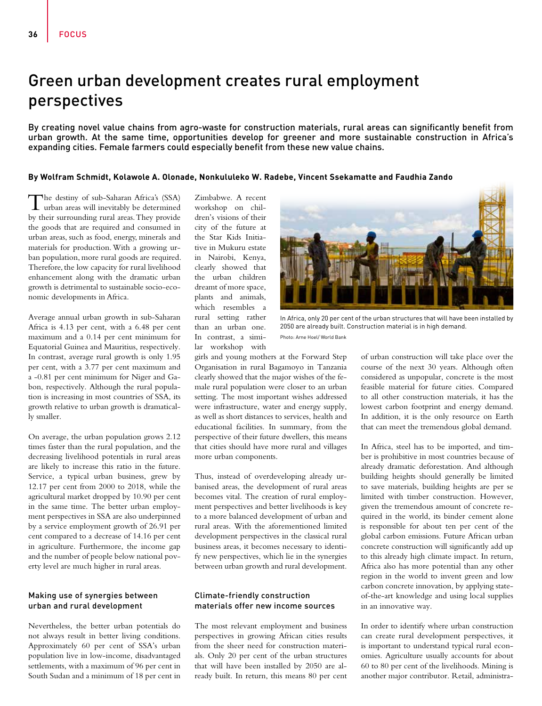# Green urban development creates rural employment perspectives

By creating novel value chains from agro-waste for construction materials, rural areas can significantly benefit from urban growth. At the same time, opportunities develop for greener and more sustainable construction in Africa's expanding cities. Female farmers could especially benefit from these new value chains.

## **By Wolfram Schmidt, Kolawole A. Olonade, Nonkululeko W. Radebe, Vincent Ssekamatte and Faudhia Zando**

The destiny of sub-Saharan Africa's (SSA)<br>urban areas will inevitably be determined by their surrounding rural areas. They provide the goods that are required and consumed in urban areas, such as food, energy, minerals and materials for production. With a growing urban population, more rural goods are required. Therefore, the low capacity for rural livelihood enhancement along with the dramatic urban growth is detrimental to sustainable socio-economic developments in Africa.

Average annual urban growth in sub-Saharan Africa is 4.13 per cent, with a 6.48 per cent maximum and a 0.14 per cent minimum for Equatorial Guinea and Mauritius, respectively. In contrast, average rural growth is only 1.95 per cent, with a 3.77 per cent maximum and a -0.81 per cent minimum for Niger and Gabon, respectively. Although the rural population is increasing in most countries of SSA, its growth relative to urban growth is dramatically smaller.

On average, the urban population grows 2.12 times faster than the rural population, and the decreasing livelihood potentials in rural areas are likely to increase this ratio in the future. Service, a typical urban business, grew by 12.17 per cent from 2000 to 2018, while the agricultural market dropped by 10.90 per cent in the same time. The better urban employment perspectives in SSA are also underpinned by a service employment growth of 26.91 per cent compared to a decrease of 14.16 per cent in agriculture. Furthermore, the income gap and the number of people below national poverty level are much higher in rural areas.

## Making use of synergies between urban and rural development

Nevertheless, the better urban potentials do not always result in better living conditions. Approximately 60 per cent of SSA's urban population live in low-income, disadvantaged settlements, with a maximum of 96 per cent in South Sudan and a minimum of 18 per cent in

Zimbabwe. A recent workshop on children's visions of their city of the future at the Star Kids Initiative in Mukuru estate in Nairobi, Kenya, clearly showed that the urban children dreamt of more space, plants and animals, which resembles a rural setting rather than an urban one. In contrast, a similar workshop with



In Africa, only 20 per cent of the urban structures that will have been installed by 2050 are already built. Construction material is in high demand. Photo: Arne Hoel/ World Bank

girls and young mothers at the Forward Step Organisation in rural Bagamoyo in Tanzania clearly showed that the major wishes of the female rural population were closer to an urban setting. The most important wishes addressed were infrastructure, water and energy supply, as well as short distances to services, health and educational facilities. In summary, from the perspective of their future dwellers, this means that cities should have more rural and villages more urban components.

Thus, instead of overdeveloping already urbanised areas, the development of rural areas becomes vital. The creation of rural employment perspectives and better livelihoods is key to a more balanced development of urban and rural areas. With the aforementioned limited development perspectives in the classical rural business areas, it becomes necessary to identify new perspectives, which lie in the synergies between urban growth and rural development.

#### Climate-friendly construction materials offer new income sources

The most relevant employment and business perspectives in growing African cities results from the sheer need for construction materials. Only 20 per cent of the urban structures that will have been installed by 2050 are already built. In return, this means 80 per cent of urban construction will take place over the course of the next 30 years. Although often considered as unpopular, concrete is the most feasible material for future cities. Compared to all other construction materials, it has the lowest carbon footprint and energy demand. In addition, it is the only resource on Earth that can meet the tremendous global demand.

In Africa, steel has to be imported, and timber is prohibitive in most countries because of already dramatic deforestation. And although building heights should generally be limited to save materials, building heights are per se limited with timber construction. However, given the tremendous amount of concrete required in the world, its binder cement alone is responsible for about ten per cent of the global carbon emissions. Future African urban concrete construction will significantly add up to this already high climate impact. In return, Africa also has more potential than any other region in the world to invent green and low carbon concrete innovation, by applying stateof-the-art knowledge and using local supplies in an innovative way.

In order to identify where urban construction can create rural development perspectives, it is important to understand typical rural economies. Agriculture usually accounts for about 60 to 80 per cent of the livelihoods. Mining is another major contributor. Retail, administra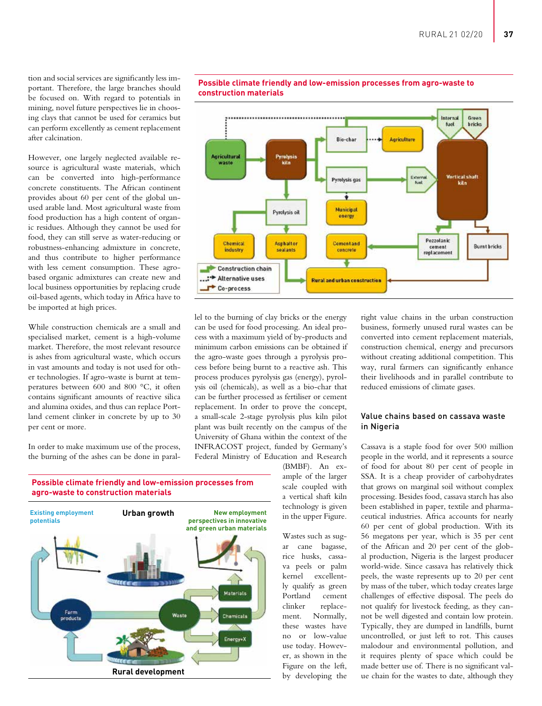tion and social services are significantly less important. Therefore, the large branches should be focused on. With regard to potentials in mining, novel future perspectives lie in choosing clays that cannot be used for ceramics but can perform excellently as cement replacement after calcination.

However, one largely neglected available resource is agricultural waste materials, which can be converted into high-performance concrete constituents. The African continent provides about 60 per cent of the global unused arable land. Most agricultural waste from food production has a high content of organic residues. Although they cannot be used for food, they can still serve as water-reducing or robustness-enhancing admixture in concrete, and thus contribute to higher performance with less cement consumption. These agrobased organic admixtures can create new and local business opportunities by replacing crude oil-based agents, which today in Africa have to be imported at high prices.

While construction chemicals are a small and specialised market, cement is a high-volume market. Therefore, the most relevant resource is ashes from agricultural waste, which occurs in vast amounts and today is not used for other technologies. If agro-waste is burnt at temperatures between 600 and 800 °C, it often contains significant amounts of reactive silica and alumina oxides, and thus can replace Portland cement clinker in concrete by up to 30 per cent or more.

In order to make maximum use of the process, the burning of the ashes can be done in paral-



## **Possible climate friendly and low-emission processes from agro-waste to construction materials**

lel to the burning of clay bricks or the energy can be used for food processing. An ideal process with a maximum yield of by-products and minimum carbon emissions can be obtained if the agro-waste goes through a pyrolysis process before being burnt to a reactive ash. This process produces pyrolysis gas (energy), pyrolysis oil (chemicals), as well as a bio-char that can be further processed as fertiliser or cement replacement. In order to prove the concept, a small-scale 2-stage pyrolysis plus kiln pilot plant was built recently on the campus of the University of Ghana within the context of the INFRACOST project, funded by Germany's Federal Ministry of Education and Research



(BMBF). An example of the larger scale coupled with a vertical shaft kiln technology is given in the upper Figure.

Wastes such as sugar cane bagasse, rice husks, cassava peels or palm kernel excellently qualify as green Portland cement clinker replacement. Normally, these wastes have no or low-value use today. However, as shown in the Figure on the left, by developing the

right value chains in the urban construction business, formerly unused rural wastes can be converted into cement replacement materials, construction chemical, energy and precursors without creating additional competition. This way, rural farmers can significantly enhance their livelihoods and in parallel contribute to reduced emissions of climate gases.

### Value chains based on cassava waste in Nigeria

Cassava is a staple food for over 500 million people in the world, and it represents a source of food for about 80 per cent of people in SSA. It is a cheap provider of carbohydrates that grows on marginal soil without complex processing. Besides food, cassava starch has also been established in paper, textile and pharmaceutical industries. Africa accounts for nearly 60 per cent of global production. With its 56 megatons per year, which is 35 per cent of the African and 20 per cent of the global production, Nigeria is the largest producer world-wide. Since cassava has relatively thick peels, the waste represents up to 20 per cent by mass of the tuber, which today creates large challenges of effective disposal. The peels do not qualify for livestock feeding, as they cannot be well digested and contain low protein. Typically, they are dumped in landfills, burnt uncontrolled, or just left to rot. This causes malodour and environmental pollution, and it requires plenty of space which could be made better use of. There is no significant value chain for the wastes to date, although they